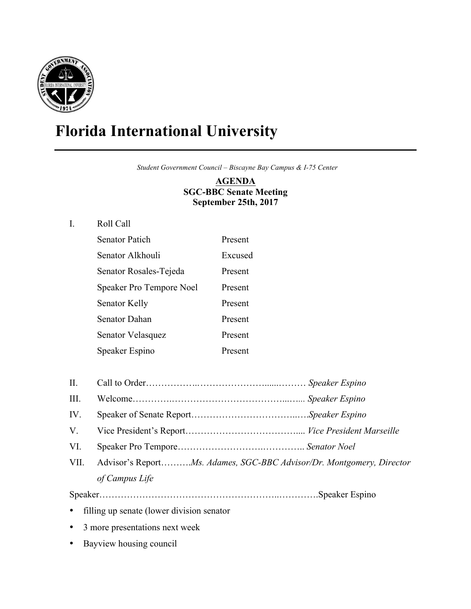

## **Florida International University**

 *Student Government Council – Biscayne Bay Campus & I-75 Center*

**AGENDA SGC-BBC Senate Meeting September 25th, 2017**

## I. Roll Call

| <b>Senator Patich</b>           | Present |
|---------------------------------|---------|
| Senator Alkhouli                | Excused |
| Senator Rosales-Tejeda          | Present |
| <b>Speaker Pro Tempore Noel</b> | Present |
| Senator Kelly                   | Present |
| Senator Dahan                   | Present |
| Senator Velasquez               | Present |
| Speaker Espino                  | Present |

- II. Call to Order……………*…*…………………......……… *Speaker Espino*
- III. Welcome………….………………………………...…*... Speaker Espino*
- IV. Speaker of Senate Report……………………………..….*Speaker Espino*
- V. Vice President's Report……………………………….... *Vice President Marseille*
- VI. Speaker Pro Tempore……………………….………….. *Senator Noel*
- VII. Advisor's Report……….*Ms. Adames, SGC-BBC Advisor/Dr. Montgomery, Director of Campus Life*

Speaker…………………………………………………..………….Speaker Espino

- filling up senate (lower division senator
- 3 more presentations next week
- Bayview housing council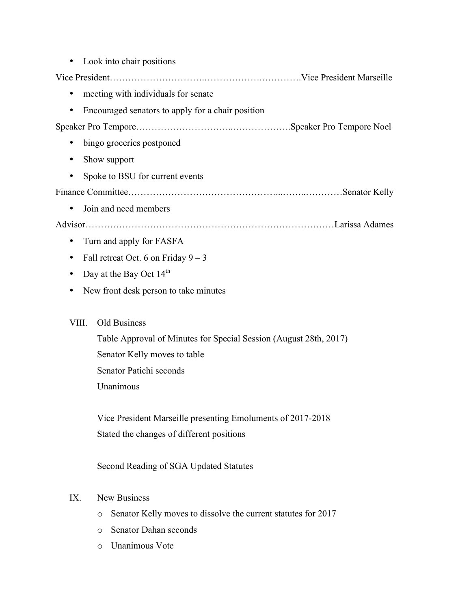|                                                                   | Look into chair positions                                          |
|-------------------------------------------------------------------|--------------------------------------------------------------------|
|                                                                   |                                                                    |
| ٠                                                                 | meeting with individuals for senate                                |
| ٠                                                                 | Encouraged senators to apply for a chair position                  |
|                                                                   |                                                                    |
| $\bullet$                                                         | bingo groceries postponed                                          |
| ٠                                                                 | Show support                                                       |
| ٠                                                                 | Spoke to BSU for current events                                    |
|                                                                   |                                                                    |
| ٠                                                                 | Join and need members                                              |
|                                                                   |                                                                    |
| ٠                                                                 | Turn and apply for FASFA                                           |
| $\bullet$                                                         | Fall retreat Oct. 6 on Friday $9 - 3$                              |
| ٠                                                                 | Day at the Bay Oct $14th$                                          |
| ٠                                                                 | New front desk person to take minutes                              |
|                                                                   |                                                                    |
| VIII.                                                             | Old Business                                                       |
| Table Approval of Minutes for Special Session (August 28th, 2017) |                                                                    |
| Senator Kelly moves to table                                      |                                                                    |
|                                                                   | Senator Patichi seconds                                            |
|                                                                   | Unanimous                                                          |
|                                                                   |                                                                    |
|                                                                   | Vice President Marseille presenting Emoluments of 2017-2018        |
|                                                                   | Stated the changes of different positions                          |
|                                                                   | Second Reading of SGA Updated Statutes                             |
|                                                                   |                                                                    |
| IX.                                                               | <b>New Business</b>                                                |
|                                                                   | Senator Kelly moves to dissolve the current statutes for 2017<br>O |
|                                                                   | Senator Dahan seconds<br>$\circ$                                   |

o Unanimous Vote